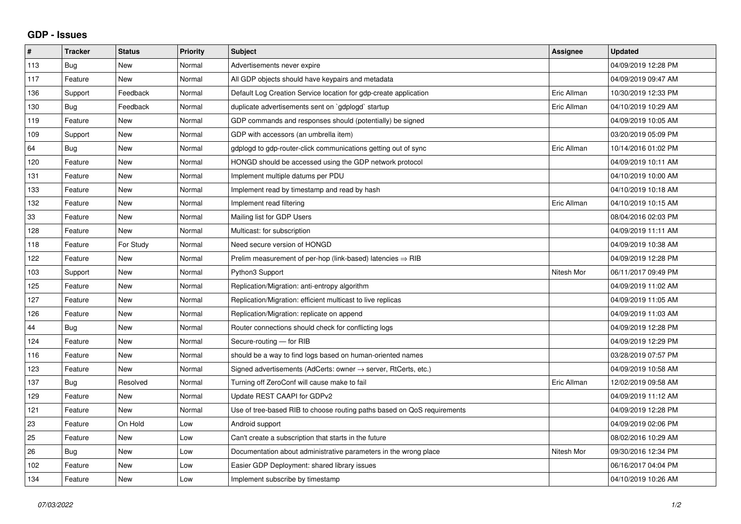## **GDP - Issues**

| #   | <b>Tracker</b> | <b>Status</b> | Priority | <b>Subject</b>                                                             | Assignee    | <b>Updated</b>      |
|-----|----------------|---------------|----------|----------------------------------------------------------------------------|-------------|---------------------|
| 113 | Bug            | <b>New</b>    | Normal   | Advertisements never expire                                                |             | 04/09/2019 12:28 PM |
| 117 | Feature        | <b>New</b>    | Normal   | All GDP objects should have keypairs and metadata                          |             | 04/09/2019 09:47 AM |
| 136 | Support        | Feedback      | Normal   | Default Log Creation Service location for gdp-create application           | Eric Allman | 10/30/2019 12:33 PM |
| 130 | Bug            | Feedback      | Normal   | duplicate advertisements sent on `gdplogd` startup                         | Eric Allman | 04/10/2019 10:29 AM |
| 119 | Feature        | <b>New</b>    | Normal   | GDP commands and responses should (potentially) be signed                  |             | 04/09/2019 10:05 AM |
| 109 | Support        | <b>New</b>    | Normal   | GDP with accessors (an umbrella item)                                      |             | 03/20/2019 05:09 PM |
| 64  | Bug            | <b>New</b>    | Normal   | gdplogd to gdp-router-click communications getting out of sync             | Eric Allman | 10/14/2016 01:02 PM |
| 120 | Feature        | <b>New</b>    | Normal   | HONGD should be accessed using the GDP network protocol                    |             | 04/09/2019 10:11 AM |
| 131 | Feature        | <b>New</b>    | Normal   | Implement multiple datums per PDU                                          |             | 04/10/2019 10:00 AM |
| 133 | Feature        | <b>New</b>    | Normal   | Implement read by timestamp and read by hash                               |             | 04/10/2019 10:18 AM |
| 132 | Feature        | <b>New</b>    | Normal   | Implement read filtering                                                   | Eric Allman | 04/10/2019 10:15 AM |
| 33  | Feature        | <b>New</b>    | Normal   | Mailing list for GDP Users                                                 |             | 08/04/2016 02:03 PM |
| 128 | Feature        | <b>New</b>    | Normal   | Multicast: for subscription                                                |             | 04/09/2019 11:11 AM |
| 118 | Feature        | For Study     | Normal   | Need secure version of HONGD                                               |             | 04/09/2019 10:38 AM |
| 122 | Feature        | <b>New</b>    | Normal   | Prelim measurement of per-hop (link-based) latencies $\Rightarrow$ RIB     |             | 04/09/2019 12:28 PM |
| 103 | Support        | <b>New</b>    | Normal   | Python3 Support                                                            | Nitesh Mor  | 06/11/2017 09:49 PM |
| 125 | Feature        | <b>New</b>    | Normal   | Replication/Migration: anti-entropy algorithm                              |             | 04/09/2019 11:02 AM |
| 127 | Feature        | <b>New</b>    | Normal   | Replication/Migration: efficient multicast to live replicas                |             | 04/09/2019 11:05 AM |
| 126 | Feature        | <b>New</b>    | Normal   | Replication/Migration: replicate on append                                 |             | 04/09/2019 11:03 AM |
| 44  | Bug            | <b>New</b>    | Normal   | Router connections should check for conflicting logs                       |             | 04/09/2019 12:28 PM |
| 124 | Feature        | <b>New</b>    | Normal   | Secure-routing - for RIB                                                   |             | 04/09/2019 12:29 PM |
| 116 | Feature        | <b>New</b>    | Normal   | should be a way to find logs based on human-oriented names                 |             | 03/28/2019 07:57 PM |
| 123 | Feature        | <b>New</b>    | Normal   | Signed advertisements (AdCerts: owner $\rightarrow$ server, RtCerts, etc.) |             | 04/09/2019 10:58 AM |
| 137 | Bug            | Resolved      | Normal   | Turning off ZeroConf will cause make to fail                               | Eric Allman | 12/02/2019 09:58 AM |
| 129 | Feature        | New           | Normal   | Update REST CAAPI for GDPv2                                                |             | 04/09/2019 11:12 AM |
| 121 | Feature        | <b>New</b>    | Normal   | Use of tree-based RIB to choose routing paths based on QoS requirements    |             | 04/09/2019 12:28 PM |
| 23  | Feature        | On Hold       | Low      | Android support                                                            |             | 04/09/2019 02:06 PM |
| 25  | Feature        | <b>New</b>    | Low      | Can't create a subscription that starts in the future                      |             | 08/02/2016 10:29 AM |
| 26  | Bug            | <b>New</b>    | Low      | Documentation about administrative parameters in the wrong place           | Nitesh Mor  | 09/30/2016 12:34 PM |
| 102 | Feature        | <b>New</b>    | Low      | Easier GDP Deployment: shared library issues                               |             | 06/16/2017 04:04 PM |
| 134 | Feature        | <b>New</b>    | Low      | Implement subscribe by timestamp                                           |             | 04/10/2019 10:26 AM |